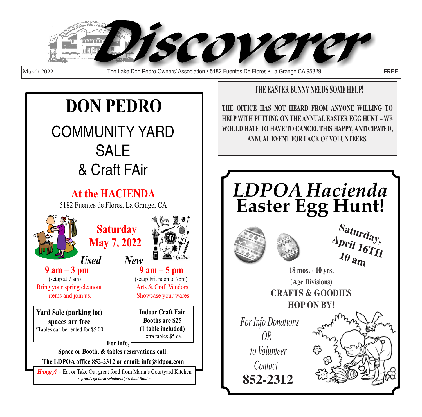

March 2022 The Lake Don Pedro Owners' Association • 5182 Fuentes De Flores • La Grange CA 95329 **FREE**

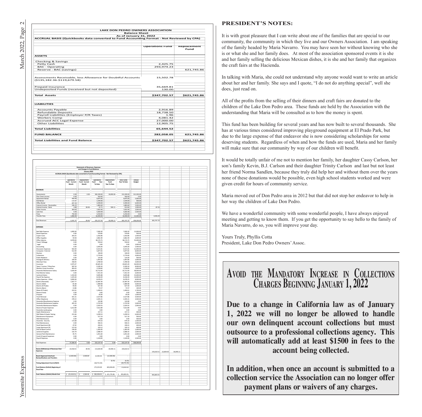|                                                                                                   | <b>LAKE DON PEDRO OWNERS ASSOCIATION</b>                                                  |                            |  |  |  |  |
|---------------------------------------------------------------------------------------------------|-------------------------------------------------------------------------------------------|----------------------------|--|--|--|--|
| <b>Balance Sheet</b>                                                                              |                                                                                           |                            |  |  |  |  |
| As of January 31, 2022                                                                            |                                                                                           |                            |  |  |  |  |
|                                                                                                   | ACCRUAL BASIS (Quickbooks data converted to Fund Accounting Format - Not Reviewed by CPA) |                            |  |  |  |  |
|                                                                                                   | <b>Operations Fund</b>                                                                    | Replacement<br><b>Fund</b> |  |  |  |  |
| <b>ASSETS</b>                                                                                     |                                                                                           |                            |  |  |  |  |
| Checking & Savings                                                                                |                                                                                           |                            |  |  |  |  |
| Petty Cash                                                                                        | 2,425.75                                                                                  |                            |  |  |  |  |
| <b>BAC</b> - Operating                                                                            | 293.974.23                                                                                |                            |  |  |  |  |
| Reserve - BAC (savings)                                                                           |                                                                                           | 621,745.86                 |  |  |  |  |
| Assessments Receivable, less Allowance for Doubtful Accounts<br>$( $135, 182.36 - $119, 679.58 )$ | 15.502.78                                                                                 |                            |  |  |  |  |
| Prepaid Insurance                                                                                 | 35,669.81                                                                                 |                            |  |  |  |  |
| Undeposited Funds (received but not deposited)                                                    | 130.00                                                                                    |                            |  |  |  |  |
| <b>Total Assets</b>                                                                               | \$347,702.57                                                                              | \$621,745.86               |  |  |  |  |
| <b>LIABILITIES</b>                                                                                |                                                                                           |                            |  |  |  |  |
| <b>Accounts Payable</b>                                                                           | 2.916.89                                                                                  |                            |  |  |  |  |
| <b>Refundable Deposits</b>                                                                        | 18.738.50                                                                                 |                            |  |  |  |  |
| Payroll Liabilities (Employer P/R Taxes)                                                          | 1.96                                                                                      |                            |  |  |  |  |
| Workers Comp                                                                                      | 4.081.42                                                                                  |                            |  |  |  |  |
|                                                                                                   | 27,000.00                                                                                 |                            |  |  |  |  |
| <b>Accrued ACC Legal Expense</b>                                                                  | 12.905.75                                                                                 |                            |  |  |  |  |
| Other Liabilities                                                                                 |                                                                                           |                            |  |  |  |  |
| <b>Total Liabilities</b>                                                                          | 65,644.52                                                                                 |                            |  |  |  |  |
| <b>FUND BALANCE</b>                                                                               | 282,058.05                                                                                | 621,745.86                 |  |  |  |  |

|                                                 |                                                                                           | <b>Statements of Revenues, Expenses</b> |                      |              |                      |                      |            |              |           |  |
|-------------------------------------------------|-------------------------------------------------------------------------------------------|-----------------------------------------|----------------------|--------------|----------------------|----------------------|------------|--------------|-----------|--|
|                                                 |                                                                                           | and Changes In Fund Balances            |                      |              |                      |                      |            |              |           |  |
|                                                 | ACCRUAL BASIS (Quickbooks data converted to Fund Accounting Format - Not Reviewed by CPA) | January 2022                            |                      |              |                      |                      |            |              |           |  |
|                                                 |                                                                                           |                                         |                      |              |                      |                      |            |              |           |  |
|                                                 |                                                                                           |                                         |                      |              |                      |                      |            |              |           |  |
|                                                 | Operations                                                                                | Replacement                             | <b>Operations</b>    | Replacement  | <b>Total Funds</b>   | Annual               |            |              |           |  |
|                                                 | Fund Current                                                                              | Fund Current                            | Fund<br>Year         | Fund         | Year To Date         | Budget               |            |              |           |  |
|                                                 | Month                                                                                     | Month                                   | To Date              | Year To Date |                      |                      |            |              |           |  |
|                                                 |                                                                                           |                                         |                      |              |                      |                      |            |              |           |  |
|                                                 |                                                                                           |                                         |                      |              |                      |                      |            |              |           |  |
| <b>REVENUES</b>                                 |                                                                                           |                                         |                      |              |                      |                      |            |              |           |  |
|                                                 |                                                                                           |                                         |                      |              |                      |                      |            |              |           |  |
| Assessments                                     | 0.00                                                                                      | 0.00                                    | 282,200.00           | 30,000.00    | 312,200.00<br>450.00 | 312,200.00           |            |              |           |  |
| Plan Check Income                               | 0.00                                                                                      |                                         | 450.00               |              |                      | 0.00                 |            |              |           |  |
| Apartment Rental                                | 450.00                                                                                    |                                         | 9,875.00             |              | 9,875.00             | 5,000.00             |            |              |           |  |
| Hall Rental                                     | $-119.00$<br>687.00                                                                       |                                         | 1,544.00             |              | 1,544.00<br>4 499 00 | 500.00<br>6.000.00   |            |              |           |  |
| Office Rental                                   |                                                                                           |                                         | 4.499.00             |              |                      |                      |            |              |           |  |
| Interest Income - Receivables                   | 246.25                                                                                    |                                         | 1.883.84             |              | 188384               | 5.000.00             |            |              |           |  |
| Interest Income - Bank                          | 2.89                                                                                      | 84.46                                   | 22.71                | 590.11       | 612.82               | 1.000.00             | 87.35      |              |           |  |
| Other Income                                    | 364.60                                                                                    |                                         | 7.832.96             |              | 7.832.96             | 2.000.00             |            |              |           |  |
| Late Fees                                       | 0.00                                                                                      |                                         | 5,660.08             |              | 5.660.08             | 5,500.00             |            |              |           |  |
| Fines                                           | 750.00                                                                                    |                                         | 4,250.00             |              | 4,250.00             | 0.00                 |            |              |           |  |
| <b>Transfer Fees</b>                            | 1,960.00                                                                                  |                                         | 16,940.00            |              | 16,940.00            | 21,000.00            | 4,426.20   |              |           |  |
|                                                 |                                                                                           |                                         |                      |              |                      |                      |            |              |           |  |
| <b>Total Revenues</b>                           | 4,341.74                                                                                  | 84.46                                   | 335,157.59           | 30,590.11    | 365,747.70           | 358,200.00           | 365,747.70 |              |           |  |
|                                                 |                                                                                           |                                         |                      |              |                      |                      |            |              |           |  |
|                                                 |                                                                                           |                                         |                      |              |                      |                      |            |              |           |  |
| <b>EXPENSES</b>                                 |                                                                                           |                                         |                      |              |                      |                      |            |              |           |  |
|                                                 |                                                                                           |                                         |                      |              |                      |                      |            |              |           |  |
| <b>Bad Debt Expense</b>                         | 1,000.00                                                                                  |                                         | 7,000.30             |              | 7,000.30             | 12,000.00            |            |              |           |  |
| <b>Board Expenses</b>                           | 0.00                                                                                      |                                         | 379.85               |              | 379.85               | 500.00               |            |              |           |  |
| Copier Costs                                    | 203.25                                                                                    |                                         | 1.502.86             |              | 1.502.86             | 2.500.00             |            |              |           |  |
| Office Supplies                                 | 59.58                                                                                     |                                         | 2.862.40             |              | 2.862.40             | 3.000.00             |            |              |           |  |
| Office Salaries                                 | 4.078.00                                                                                  |                                         | 38.174.75            |              | 38.174.75            | 55,000.00            |            |              |           |  |
| Travel / Mileage                                | 0.00                                                                                      |                                         | 550.62               |              | 550.62               | 0.00                 |            |              |           |  |
| Legal                                           | 0.00                                                                                      |                                         | 0.00                 |              | 0.00                 | 3,000.00             |            |              |           |  |
| Accounting                                      | 0.00                                                                                      |                                         | 2,045.00             |              | 2,045.00             | 5,400.00             |            |              |           |  |
| Discoverer Expenses                             | 502.00                                                                                    |                                         | 6.521.81             |              | 6,521.81             | 11,000.00            |            |              |           |  |
| Computer / Internet                             | 512.94                                                                                    |                                         | 5,877.65             |              | 5,877.65             | 8.000.00             |            |              |           |  |
| Flection                                        | 0.00                                                                                      |                                         | 100.00               |              | 100.00               | 7.000.00             |            |              |           |  |
| Collections                                     | 0.00                                                                                      |                                         | 2.774.00             |              | 2.774.00             | 4,000.00             |            |              |           |  |
| <b>Public Relations</b>                         | 0.00                                                                                      |                                         | 125.00               |              | 125.00               | 500.00               |            |              |           |  |
| Postage & Delivery                              | 100.00                                                                                    |                                         | 1,997.80             |              | 1,997.80             | 2,000.00             |            |              |           |  |
| Merchant Fees                                   | 258.05                                                                                    |                                         | 3,789.58             |              | 3,789.58             | 4,000.00             |            |              |           |  |
| Insurance                                       | 2,975.07                                                                                  |                                         | 20,825.49            |              | 20,825.49            | 36,000.00            |            |              |           |  |
|                                                 |                                                                                           |                                         |                      |              |                      |                      |            |              |           |  |
| Taxes / License / Filing Fees                   | 587.50<br>404.43                                                                          |                                         | 9,185.50<br>3.158.60 |              | 9,185.50<br>3158.60  | 8,000.00<br>1,600.00 |            |              |           |  |
| Workers Comp Insurance                          | 3.920.00                                                                                  |                                         | 33,712.00            |              | 33,712.00            | 58,000.00            |            |              |           |  |
| Hacienda Maintenance Salary                     |                                                                                           |                                         |                      |              |                      |                      |            |              |           |  |
| Pool Monitor Salary                             | 0.00                                                                                      |                                         | 7,351.50             |              | 7.351.50             | 6,000.00             |            |              |           |  |
| Janitorial Salary                               | 1,333.00                                                                                  |                                         | 9,695.88             |              | 9,695.88             | 15,000.00            |            |              |           |  |
| Payroll Tax Expense                             | 1,325.60                                                                                  |                                         | 8,318.39             |              | 8,318.39             | 14,000.00            |            |              |           |  |
| Salary Expenses - Other                         | 3,000.00                                                                                  |                                         | 8,478.25             |              | 8,478.25             | 8,000.00             |            |              |           |  |
| Electic (Hacienda)                              | 1,567.77                                                                                  |                                         | 13,387.36            |              | 13,387.36            | 20,500.00            |            |              |           |  |
| Electric (Well)                                 | 81.68                                                                                     |                                         | 1.989.98             |              | 1,989.98             | 4.000.00             |            |              |           |  |
| Flectric (Fl Prado)                             | 95.83                                                                                     |                                         | 627.30               |              | 62730                | 1,000.00             |            |              |           |  |
| Electric (Barn)                                 | 13.86                                                                                     |                                         | 72.57                |              | 72.57                | 100.00               |            |              |           |  |
| Water (El Prado)                                | 222.61                                                                                    |                                         | 1,494.61             |              | 1,494.61             | 1,700.00             |            |              |           |  |
| Reserve Study                                   | 0.00                                                                                      |                                         | 0.00                 |              | 0.00                 | 300.00               |            |              |           |  |
| Propane                                         | 0.00                                                                                      |                                         | 95.00                |              | 95.00                | 1,000.00             |            |              |           |  |
| <b>Trash Removal</b>                            | 421.31                                                                                    |                                         | 2,527.86             |              | 2,527.86             | 4,500.00             |            |              |           |  |
| Office Telephone                                | 278.12                                                                                    |                                         | 2,445.31             |              | 2,445.31             | 3,500.00             |            |              |           |  |
| Hacienda Miscellaneous Expense                  | 0.00                                                                                      |                                         | 142.80               |              | 142.80               | 0.00                 |            |              |           |  |
| Hacienda Maintenance Supplies                   | 205.33                                                                                    |                                         | 2.722.94             |              | 2.722.94             | 5,000.00             |            |              |           |  |
| Hacienda Maintenance Repairs                    | 0.00                                                                                      |                                         | 2.424.55             |              | 2.424.55             | 2,000.00             |            |              |           |  |
| Reserve Project Expenses                        | 3,212.89                                                                                  |                                         | 7,612.89             |              | 7,612.89             | 0.00                 |            |              |           |  |
| Hacienda Landscaping                            | 0.00                                                                                      |                                         | 0.00                 |              | 0.00                 | 0.00                 |            |              |           |  |
| Septic Maintenance                              | 0.00                                                                                      |                                         | 157.11               |              | 157.11               | 300.00               |            |              |           |  |
| Well Water & Septic Testing                     | 215.66                                                                                    |                                         | 3,299.53             |              | 3,299.53             | 6.000.00             |            |              |           |  |
| Maintenance Equipment                           | 0.00                                                                                      |                                         | 517.19               |              | 517.19               | 500.00               |            |              |           |  |
| Well Maintenance                                | 0.00                                                                                      |                                         | 0.00                 |              | 0.00                 | 500.00               |            |              |           |  |
| Hacienda - Security                             | 172.68                                                                                    |                                         | 679.10               |              | 679.10               | 1.500.00             |            |              |           |  |
| Pool Maintenance                                | 0.00                                                                                      |                                         | 930.31               |              | 930.31               | 2,000.00             |            |              |           |  |
| Small Apartment (B)                             | 47.92                                                                                     |                                         | 240.41               |              | 240.41               | 400.00               |            |              |           |  |
| Large Apartment (A)                             | 127.63                                                                                    |                                         | 320.12               |              | 320.12               | 400.00               |            |              |           |  |
| Pest & Weed Control                             |                                                                                           |                                         | 1.365.00             |              |                      |                      |            |              |           |  |
|                                                 | 149.00<br>142.79                                                                          |                                         | 2.086.42             |              | 1,365.00<br>2.086.42 | 1,000.00<br>2.000.00 |            |              |           |  |
| Janitorial Supplies<br>General Park Maintenance | 45.75                                                                                     |                                         | 1.051.60             |              | 1.051.60             | 2,000.00             |            |              |           |  |
| Covid-19 payroll expenses                       |                                                                                           |                                         |                      |              |                      |                      |            |              |           |  |
|                                                 | 0.00                                                                                      |                                         | 0.00                 |              | 0.00                 | 0.00                 |            |              |           |  |
| Payroll Expenses                                | 0.00                                                                                      |                                         | 1,520.00             |              | 1,520.00             | 3,500.00             |            |              |           |  |
|                                                 |                                                                                           |                                         |                      |              |                      |                      |            |              |           |  |
| <b>Total Expenses</b>                           | 27,260.25                                                                                 | 0.00                                    | 222,137.19           | 0.00         | 222,137.19           | 328,200.00           |            |              |           |  |
|                                                 |                                                                                           |                                         |                      |              |                      |                      |            |              |           |  |
| Excess (Deficiency) of Revenues Over            | $-22,918.51$                                                                              | 84.46                                   | 113,020.40           | 30,590.11    | 143,610.51           |                      |            |              |           |  |
| Expenses                                        |                                                                                           |                                         |                      |              |                      |                      |            |              |           |  |
|                                                 |                                                                                           |                                         |                      |              |                      |                      | 143,610.51 | $-22,834.05$ | 18,090.11 |  |
|                                                 |                                                                                           |                                         |                      |              |                      |                      |            |              |           |  |
| <b>Board-Approved Interfund</b>                 | (2,500.00)                                                                                | 2,500.00                                | 12,500.00            | (12, 500.00) |                      |                      |            |              |           |  |
| <b>Reclassifications and Transfers</b>          |                                                                                           |                                         |                      |              |                      |                      |            |              |           |  |
|                                                 |                                                                                           |                                         |                      | (0.25)       | (0.25)               |                      |            |              |           |  |
| Timing Adjustment from 6/30/21                  |                                                                                           |                                         | (18.715.35)          |              | (18, 715.35)         |                      |            |              |           |  |
|                                                 |                                                                                           |                                         |                      |              |                      |                      |            |              |           |  |
| <b>Fund Balance (Deficit) Beginning of</b>      |                                                                                           |                                         | 175,253.00           | 603,656.00   | 778,909.00           |                      |            |              |           |  |
| <b>Fiscal Year</b>                              |                                                                                           |                                         |                      |              |                      |                      |            |              |           |  |
|                                                 |                                                                                           |                                         |                      |              |                      |                      |            |              |           |  |
|                                                 |                                                                                           |                                         |                      |              |                      |                      |            |              |           |  |
| Fund Balance (Deficit) Month End                | 5(25, 418.51)                                                                             | 2,584.46                                | \$282,058.05         | \$621,745.86 | 903.803.91<br>Ś      |                      | 903,803.91 |              |           |  |
|                                                 |                                                                                           |                                         |                      |              |                      |                      |            |              |           |  |
|                                                 |                                                                                           |                                         |                      |              |                      |                      |            |              |           |  |
|                                                 |                                                                                           |                                         |                      |              |                      |                      |            |              |           |  |
|                                                 |                                                                                           |                                         |                      |              |                      |                      |            |              |           |  |
|                                                 |                                                                                           |                                         |                      |              |                      |                      |            |              |           |  |

#### **PRESIDENT'S NOTES:**

It is with great pleasure that I can write about one of the families that are special to our community, the community in which they live and our Owners Association. I am speaking of the family headed by Maria Navarro. You may have seen her without knowing who she is or what she and her family does. At most of the association sponsored events it is she and her family selling the delicious Mexican dishes, it is she and her family that organizes the craft fairs at the Hacienda.

In talking with Maria, she could not understand why anyone would want to write an article about her and her family. She says and I quote, "I do not do anything special", well she does, just read on.

All of the profits from the selling of their dinners and craft fairs are donated to the children of the Lake Don Pedro area. These funds are held by the Association with the understanding that Maria will be consulted as to how the money is spent.

This fund has been building for several years and has now built to several thousands. She has at various times considered improving playground equipment at El Prado Park, but due to the large expense of that endeavor she is now considering scholarships for some deserving students. Regardless of when and how the funds are used, Maria and her family will make sure that our community by way of our children will benefit.

It would be totally unfair of me not to mention her family, her daughter Cassy Carlson, her son's family Kevin, B.J. Carlson and their daughter Trinity Carlson and last but not least her friend Norma Sandlen, because they truly did help her and without them over the years none of these donations would be possible, even high school students worked and were given credit for hours of community service.

Maria moved out of Don Pedro area in 2012 but that did not stop her endeavor to help in her way the children of Lake Don Pedro.

We have a wonderful community with some wonderful people, I have always enjoyed meeting and getting to know them. If you get the opportunity to say hello to the family of Maria Navarro, do so, you will improve your day.

Yours Truly, Phyllis Cotta President, Lake Don Pedro Owners' Assoc.

## **Avoid the Mandatory Increase in Collections Charges Beginning January 1, 2022**

**Due to a change in California law as of January 1, 2022 we will no longer be allowed to handle our own delinquent account collections but must outsource to a professional collections agency. This will automatically add at least \$1500 in fees to the account being collected.**

**In addition, when once an account is submitted to a collection service the Association can no longer offer payment plans or waivers of any charges.**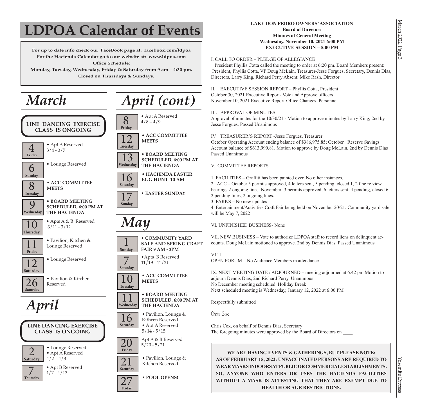#### **For up to date info check our FaceBook page at: facebook.com/ldpoa For the Hacienda Calendar go to our website at: www.ldpoa.com Office Schedule: Monday, Tuesday, Wednesday, Friday & Saturday from 9 am – 4:30 pm. Closed on Thursdays & Sundays. LDPOA Calendar of Events**  *March* • **HACIENDA EASTER** 16 **EGG HUNT 10 AM Saturday** 11 **Pavilion**, Kitchen &  **Friday** • Apts B Reserved  $11/19 - 11/21$  **Saturday • EASTER SUNDAY** 17  **Sunday LINE DANCING EXERCISE CLASS IS ONGOING** 12<sup>.</sup> Lounge Reserved **Saturday**  $\boxed{10}$   $\boxed{\,^{\bullet}$  Apts A & B Reserved **Thursday**  $\overline{8}$   $\overline{\phantom{1}^{8}$  Apt A Reserved **Friday** *April (cont)* **6** • Lounge Reserved **Sunday** • **ACC COMMITTEE** 8 **MEETS Tuesday** • **BOARD MEETING SCHEDULED, 6:00 PM AT THE HACIENDA** 9  **Wednesday**  $\overline{4}$   $\sqrt{\frac{4}{3/4}}$  - 3/7  **Friday** 26 **Pavilion & Kitchen Saturday**  *April* • **ACC COMMITTEE** 12 **MEETS Tuesday** • **BOARD MEETING SCHEDULED, 6:00 PM AT THE HACIENDA** 13  **Wednesday LINE DANCING EXERCISE CLASS IS ONGOING LAKE DON PEDRO OWNERS' ASSOCIATION Board of Directors Minutes of General Meeting Wednesday, November 10, 2021 6:00 PM EXECUTIVE SESSION – 5:00 PM** I. CALL TO ORDER – PLEDGE OF ALLEGIANCE President Phyllis Cotta called the meeting to order at 6:20 pm. Board Members present: President, Phyllis Cotta, VP Doug McLain, Treasurer-Jesse Forgues, Secretary, Dennis Dias, Directors, Larry King, Richard Perry Absent: Mike Rash, Director II. EXECUTIVE SESSION REPORT – Phyllis Cotta, President October 30, 2021 Executive Report- Vote and Approve officers November 10, 2021 Executive Report-Office Changes, Personnel III. APPROVAL OF MINUTES Approval of minutes for the 10/30/21 - Motion to approve minutes by Larry King, 2nd by Jesse Forgues. Passed Unanimous IV. TREASURER'S REPORT -Jesse Forgues, Treasurer October Operating Account ending balance of \$386,975.85; October Reserve Savings Account balance of \$613,990.81. Motion to approve by Doug McLain, 2nd by Dennis Dias Passed Unanimous V. COMMITTEE REPORTS 1. FACILITIES – Graffiti has been painted over. No other instances. 2. ACC – October 5 permits approved, 4 letters sent, 5 pending, closed 1, 2 fine re view hearings 2 ongoing fines. November: 3 permits approved, 6 letters sent, 4 pending, closed 6, 2 pending fines, 2 ongoing fines. 3. PARKS – No new updates 4. Entertainment/Activities Craft Fair being held on November 20/21. Community yard sale will be May 7, 2022 VI. UNFINISHED BUSINESS- None VII. NEW BUSINESS – Vote to authorize LDPOA staff to record liens on delinquent accounts. Doug McLain motioned to approve. 2nd by Dennis Dias. Passed Unanimous V111. OPEN FORUM – No Audience Members in attendance IX. NEXT MEETING DATE / ADJOURNED – meeting adjourned at 6:42 pm Motion to adjourn Dennis Dias, 2nd Richard Perry. Unanimous No December meeting scheduled. Holiday Break Next scheduled meeting is Wednesday, January 12, 2022 at 6:00 PM Respectfully submitted Chris Cox Chris Cox, on behalf of Dennis Dias, Secretary The foregoing minutes were approved by the Board of Directors on \_\_\_\_ • Pavilion, Lounge & Kithcen Reserved • Apt A Reserved  $5/14 - 5/15$ 16  **Saturday** • **COMMUNITY YARD SALE AND SPRING CRAFT FAIR 9 AM - 3PM** 1 **Sunday** *May* • **ACC COMMITTEE** 10 **MEETS Tuesday** • **BOARD MEETING SCHEDULED, 6:00 PM AT THE HACIENDA** 11  **Wednesday**

 $\overline{20}$  Apt A & B Reserved

 $\overline{21}$   $\cdot$  Pavilion, Lounge &

**27** • **POOL OPENS!** 

 **Friday**

 **Saturday**

**Friday**

• Lounge Reserved • Apt A Reserved  $4/2 - 4/3$ 

• Apt B Reserved  $\frac{4}{7}$  -  $\frac{4}{13}$ 

2 **Saturday**

 **Thursday**

**WE ARE HAVING EVENTS & GATHERINGS, BUT PLEASE NOTE: AS OF FEBRUARY 15, 2022: UNVACCINATED PERSONS ARE REQUIRED TO WEAR MASKS INDOORS AT PUBLIC OR COMMERCIAL ESTABLISHMENTS. SO, ANYONE WHO ENTERS OR USES THE HACIENDA FACILITIES WITHOUT A MASK IS ATTESTING THAT THEY ARE EXEMPT DUE TO HEALTH OR AGE RESTRICTIONS.**